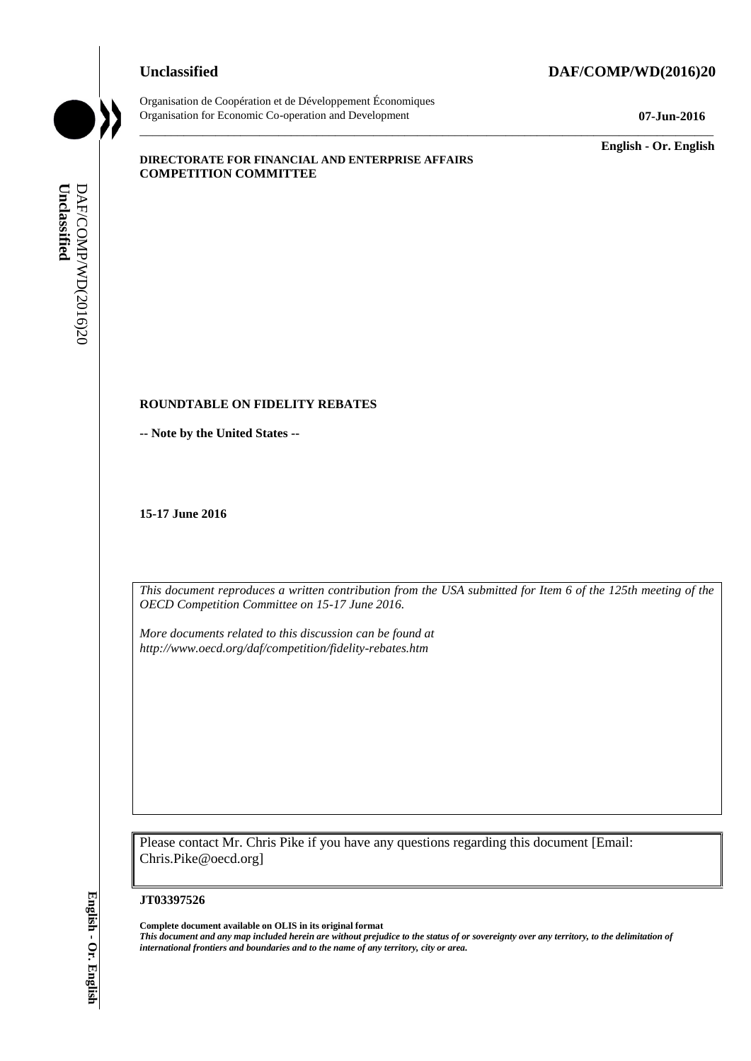## **Unclassified DAF/COMP/WD(2016)20**

Organisation de Coopération et de Développement Économiques Organisation for Economic Co-operation and Development **07-Jun-2016**

\_\_\_\_\_\_\_\_\_\_\_\_\_ **English - Or. English**

### **DIRECTORATE FOR FINANCIAL AND ENTERPRISE AFFAIRS COMPETITION COMMITTEE**

# **ROUNDTABLE ON FIDELITY REBATES**

**-- Note by the United States --**

**15-17 June 2016**

*This document reproduces a written contribution from the USA submitted for Item 6 of the 125th meeting of the OECD Competition Committee on 15-17 June 2016.* 

\_\_\_\_\_\_\_\_\_\_\_\_\_\_\_\_\_\_\_\_\_\_\_\_\_\_\_\_\_\_\_\_\_\_\_\_\_\_\_\_\_\_\_\_\_\_\_\_\_\_\_\_\_\_\_\_\_\_\_\_\_\_\_\_\_\_\_\_\_\_\_\_\_\_\_\_\_\_\_\_\_\_\_\_\_\_\_\_\_\_\_

*More documents related to this discussion can be found at http://www.oecd.org/daf/competition/fidelity-rebates.htm*

Please contact Mr. Chris Pike if you have any questions regarding this document [Email: Chris.Pike@oecd.org]

#### **JT03397526**

**Complete document available on OLIS in its original format** *This document and any map included herein are without prejudice to the status of or sovereignty over any territory, to the delimitation of*  **iii** *international formula from the United States -<br> If Contract by the United States -<br> If Contract by the United States -<br> If Contract is the United States -<br> If Contract is the United States and Boundaries and*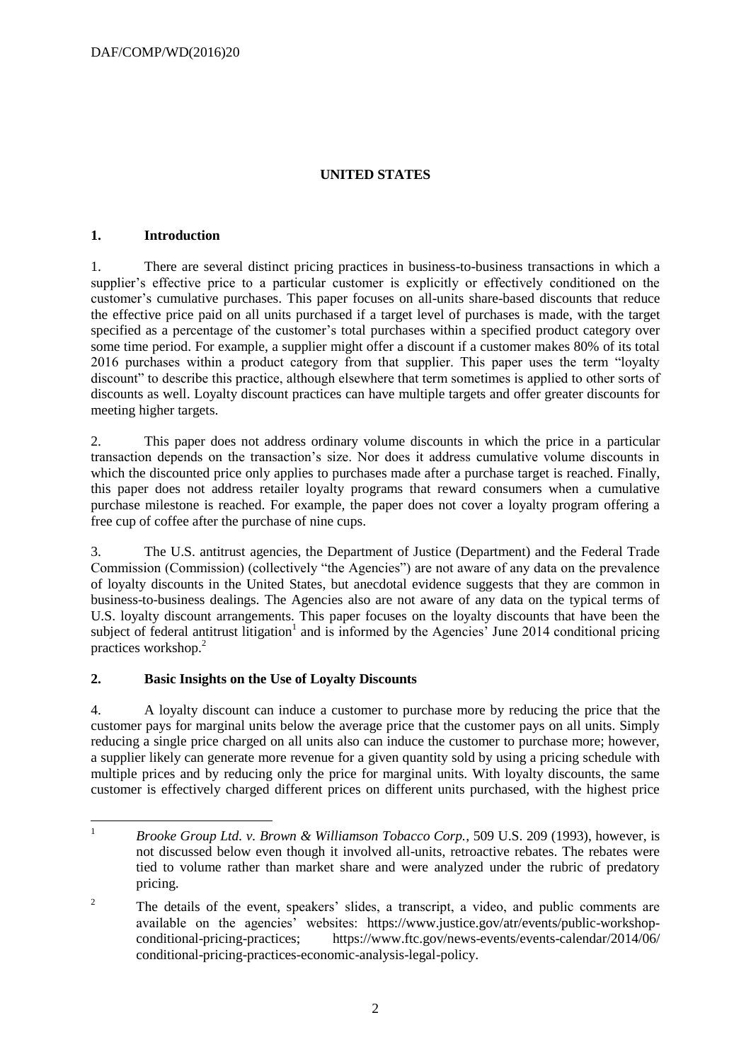# **UNITED STATES**

## **1. Introduction**

1. There are several distinct pricing practices in business-to-business transactions in which a supplier's effective price to a particular customer is explicitly or effectively conditioned on the customer's cumulative purchases. This paper focuses on all-units share-based discounts that reduce the effective price paid on all units purchased if a target level of purchases is made, with the target specified as a percentage of the customer's total purchases within a specified product category over some time period. For example, a supplier might offer a discount if a customer makes 80% of its total 2016 purchases within a product category from that supplier. This paper uses the term "loyalty discount" to describe this practice, although elsewhere that term sometimes is applied to other sorts of discounts as well. Loyalty discount practices can have multiple targets and offer greater discounts for meeting higher targets.

2. This paper does not address ordinary volume discounts in which the price in a particular transaction depends on the transaction's size. Nor does it address cumulative volume discounts in which the discounted price only applies to purchases made after a purchase target is reached. Finally, this paper does not address retailer loyalty programs that reward consumers when a cumulative purchase milestone is reached. For example, the paper does not cover a loyalty program offering a free cup of coffee after the purchase of nine cups.

3. The U.S. antitrust agencies, the Department of Justice (Department) and the Federal Trade Commission (Commission) (collectively "the Agencies") are not aware of any data on the prevalence of loyalty discounts in the United States, but anecdotal evidence suggests that they are common in business-to-business dealings. The Agencies also are not aware of any data on the typical terms of U.S. loyalty discount arrangements. This paper focuses on the loyalty discounts that have been the subject of federal antitrust litigation<sup>1</sup> and is informed by the Agencies' June 2014 conditional pricing practices workshop.<sup>2</sup>

# **2. Basic Insights on the Use of Loyalty Discounts**

4. A loyalty discount can induce a customer to purchase more by reducing the price that the customer pays for marginal units below the average price that the customer pays on all units. Simply reducing a single price charged on all units also can induce the customer to purchase more; however, a supplier likely can generate more revenue for a given quantity sold by using a pricing schedule with multiple prices and by reducing only the price for marginal units. With loyalty discounts, the same customer is effectively charged different prices on different units purchased, with the highest price

 $1\,$ <sup>1</sup> *Brooke Group Ltd. v. Brown & Williamson Tobacco Corp.*, 509 U.S. 209 (1993), however, is not discussed below even though it involved all-units, retroactive rebates. The rebates were tied to volume rather than market share and were analyzed under the rubric of predatory pricing.

<sup>&</sup>lt;sup>2</sup> The details of the event, speakers' slides, a transcript, a video, and public comments are available on the agencies' websites: https://www.justice.gov/atr/events/public-workshopconditional-pricing-practices; https://www.ftc.gov/news-events/events-calendar/2014/06/ conditional-pricing-practices-economic-analysis-legal-policy.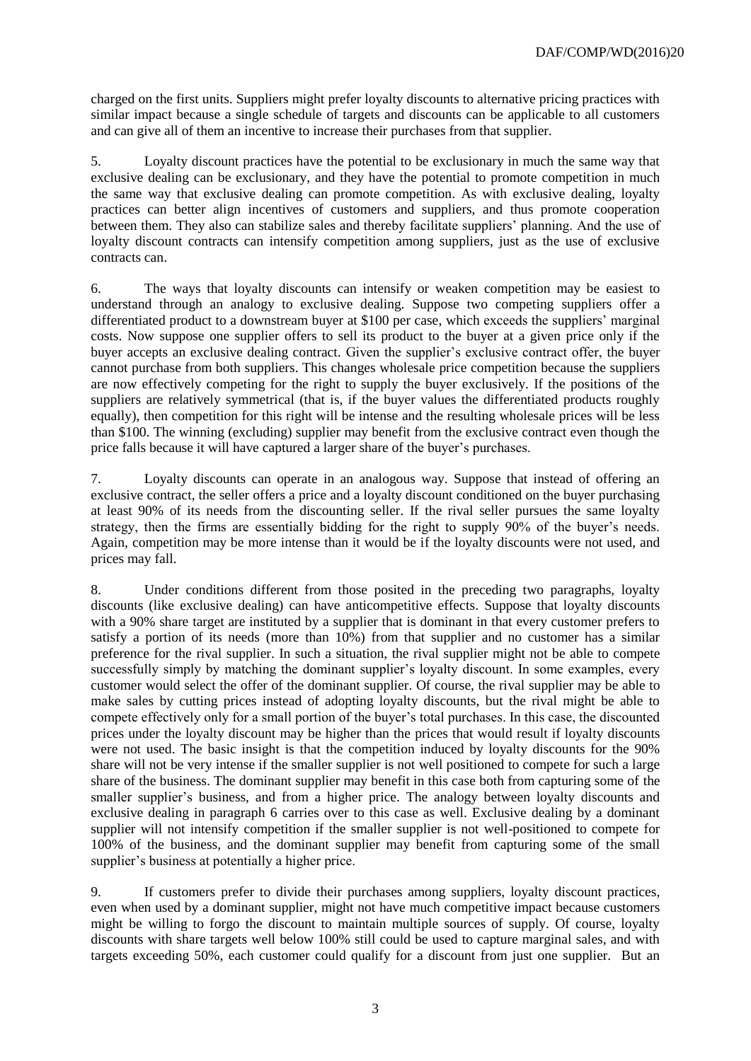charged on the first units. Suppliers might prefer loyalty discounts to alternative pricing practices with similar impact because a single schedule of targets and discounts can be applicable to all customers and can give all of them an incentive to increase their purchases from that supplier.

5. Loyalty discount practices have the potential to be exclusionary in much the same way that exclusive dealing can be exclusionary, and they have the potential to promote competition in much the same way that exclusive dealing can promote competition. As with exclusive dealing, loyalty practices can better align incentives of customers and suppliers, and thus promote cooperation between them. They also can stabilize sales and thereby facilitate suppliers' planning. And the use of loyalty discount contracts can intensify competition among suppliers, just as the use of exclusive contracts can.

6. The ways that loyalty discounts can intensify or weaken competition may be easiest to understand through an analogy to exclusive dealing. Suppose two competing suppliers offer a differentiated product to a downstream buyer at \$100 per case, which exceeds the suppliers' marginal costs. Now suppose one supplier offers to sell its product to the buyer at a given price only if the buyer accepts an exclusive dealing contract. Given the supplier's exclusive contract offer, the buyer cannot purchase from both suppliers. This changes wholesale price competition because the suppliers are now effectively competing for the right to supply the buyer exclusively. If the positions of the suppliers are relatively symmetrical (that is, if the buyer values the differentiated products roughly equally), then competition for this right will be intense and the resulting wholesale prices will be less than \$100. The winning (excluding) supplier may benefit from the exclusive contract even though the price falls because it will have captured a larger share of the buyer's purchases.

7. Loyalty discounts can operate in an analogous way. Suppose that instead of offering an exclusive contract, the seller offers a price and a loyalty discount conditioned on the buyer purchasing at least 90% of its needs from the discounting seller. If the rival seller pursues the same loyalty strategy, then the firms are essentially bidding for the right to supply 90% of the buyer's needs. Again, competition may be more intense than it would be if the loyalty discounts were not used, and prices may fall.

8. Under conditions different from those posited in the preceding two paragraphs, loyalty discounts (like exclusive dealing) can have anticompetitive effects. Suppose that loyalty discounts with a 90% share target are instituted by a supplier that is dominant in that every customer prefers to satisfy a portion of its needs (more than 10%) from that supplier and no customer has a similar preference for the rival supplier. In such a situation, the rival supplier might not be able to compete successfully simply by matching the dominant supplier's loyalty discount. In some examples, every customer would select the offer of the dominant supplier. Of course, the rival supplier may be able to make sales by cutting prices instead of adopting loyalty discounts, but the rival might be able to compete effectively only for a small portion of the buyer's total purchases. In this case, the discounted prices under the loyalty discount may be higher than the prices that would result if loyalty discounts were not used. The basic insight is that the competition induced by loyalty discounts for the 90% share will not be very intense if the smaller supplier is not well positioned to compete for such a large share of the business. The dominant supplier may benefit in this case both from capturing some of the smaller supplier's business, and from a higher price. The analogy between loyalty discounts and exclusive dealing in paragraph 6 carries over to this case as well. Exclusive dealing by a dominant supplier will not intensify competition if the smaller supplier is not well-positioned to compete for 100% of the business, and the dominant supplier may benefit from capturing some of the small supplier's business at potentially a higher price.

9. If customers prefer to divide their purchases among suppliers, loyalty discount practices, even when used by a dominant supplier, might not have much competitive impact because customers might be willing to forgo the discount to maintain multiple sources of supply. Of course, loyalty discounts with share targets well below 100% still could be used to capture marginal sales, and with targets exceeding 50%, each customer could qualify for a discount from just one supplier. But an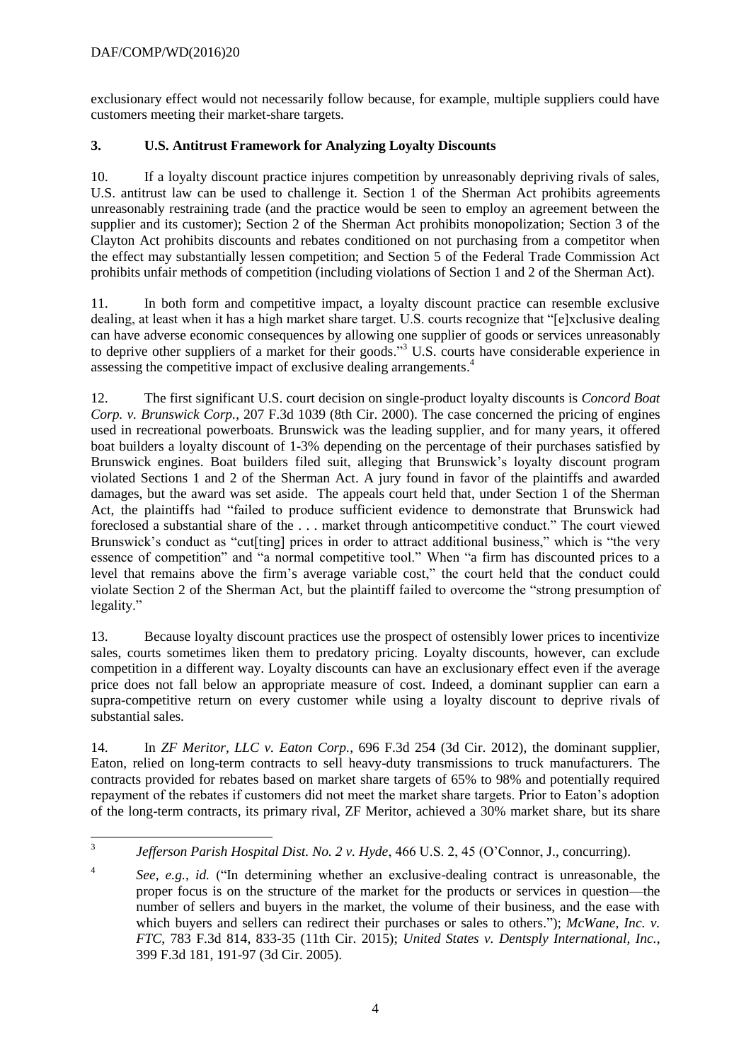# DAF/COMP/WD(2016)20

exclusionary effect would not necessarily follow because, for example, multiple suppliers could have customers meeting their market-share targets.

# **3. U.S. Antitrust Framework for Analyzing Loyalty Discounts**

10. If a loyalty discount practice injures competition by unreasonably depriving rivals of sales, U.S. antitrust law can be used to challenge it. Section 1 of the Sherman Act prohibits agreements unreasonably restraining trade (and the practice would be seen to employ an agreement between the supplier and its customer); Section 2 of the Sherman Act prohibits monopolization; Section 3 of the Clayton Act prohibits discounts and rebates conditioned on not purchasing from a competitor when the effect may substantially lessen competition; and Section 5 of the Federal Trade Commission Act prohibits unfair methods of competition (including violations of Section 1 and 2 of the Sherman Act).

11. In both form and competitive impact, a loyalty discount practice can resemble exclusive dealing, at least when it has a high market share target. U.S. courts recognize that "[e]xclusive dealing can have adverse economic consequences by allowing one supplier of goods or services unreasonably to deprive other suppliers of a market for their goods."<sup>3</sup> U.S. courts have considerable experience in assessing the competitive impact of exclusive dealing arrangements. 4

12. The first significant U.S. court decision on single-product loyalty discounts is *Concord Boat Corp. v. Brunswick Corp.*, 207 F.3d 1039 (8th Cir. 2000). The case concerned the pricing of engines used in recreational powerboats. Brunswick was the leading supplier, and for many years, it offered boat builders a loyalty discount of 1-3% depending on the percentage of their purchases satisfied by Brunswick engines. Boat builders filed suit, alleging that Brunswick's loyalty discount program violated Sections 1 and 2 of the Sherman Act. A jury found in favor of the plaintiffs and awarded damages, but the award was set aside. The appeals court held that, under Section 1 of the Sherman Act, the plaintiffs had "failed to produce sufficient evidence to demonstrate that Brunswick had foreclosed a substantial share of the . . . market through anticompetitive conduct." The court viewed Brunswick's conduct as "cut[ting] prices in order to attract additional business," which is "the very essence of competition" and "a normal competitive tool." When "a firm has discounted prices to a level that remains above the firm's average variable cost," the court held that the conduct could violate Section 2 of the Sherman Act, but the plaintiff failed to overcome the "strong presumption of legality."

13. Because loyalty discount practices use the prospect of ostensibly lower prices to incentivize sales, courts sometimes liken them to predatory pricing. Loyalty discounts, however, can exclude competition in a different way. Loyalty discounts can have an exclusionary effect even if the average price does not fall below an appropriate measure of cost. Indeed, a dominant supplier can earn a supra-competitive return on every customer while using a loyalty discount to deprive rivals of substantial sales.

14. In *ZF Meritor, LLC v. Eaton Corp.*, 696 F.3d 254 (3d Cir. 2012), the dominant supplier, Eaton, relied on long-term contracts to sell heavy-duty transmissions to truck manufacturers. The contracts provided for rebates based on market share targets of 65% to 98% and potentially required repayment of the rebates if customers did not meet the market share targets. Prior to Eaton's adoption of the long-term contracts, its primary rival, ZF Meritor, achieved a 30% market share, but its share

 $\frac{1}{3}$ *Jefferson Parish Hospital Dist. No. 2 v. Hyde*, 466 U.S. 2, 45 (O'Connor, J., concurring).

<sup>4</sup> *See, e.g.*, *id.* ("In determining whether an exclusive-dealing contract is unreasonable, the proper focus is on the structure of the market for the products or services in question—the number of sellers and buyers in the market, the volume of their business, and the ease with which buyers and sellers can redirect their purchases or sales to others."); *McWane, Inc. v. FTC*, 783 F.3d 814, 833-35 (11th Cir. 2015); *United States v. Dentsply International, Inc.*, 399 F.3d 181, 191-97 (3d Cir. 2005).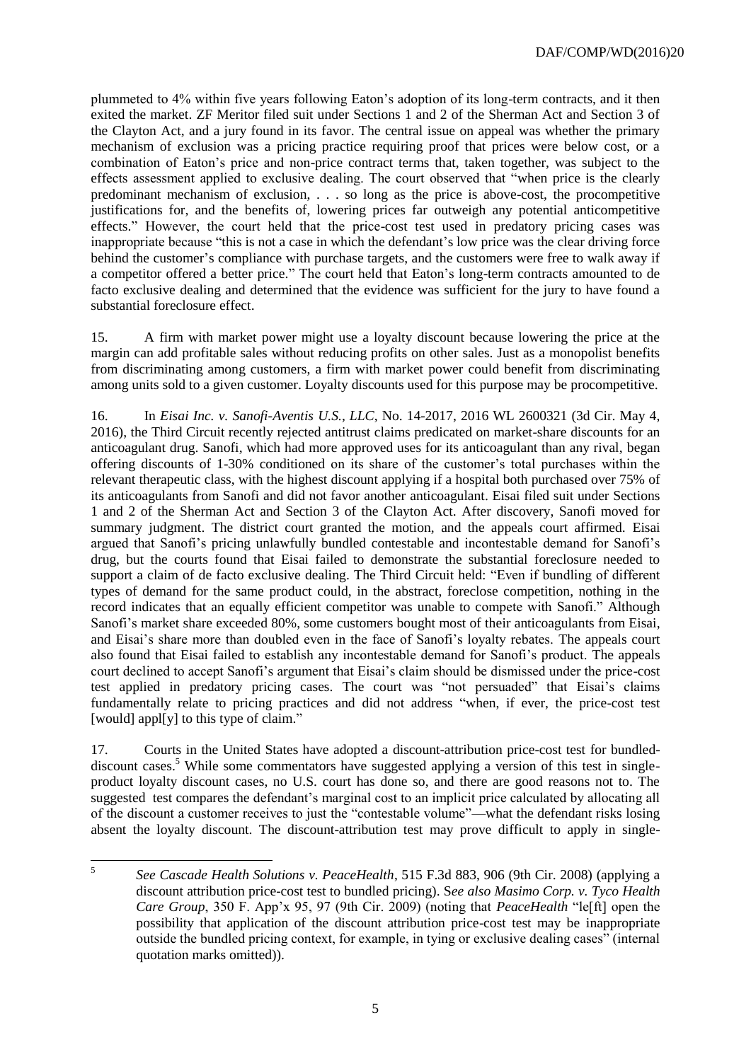plummeted to 4% within five years following Eaton's adoption of its long-term contracts, and it then exited the market. ZF Meritor filed suit under Sections 1 and 2 of the Sherman Act and Section 3 of the Clayton Act, and a jury found in its favor. The central issue on appeal was whether the primary mechanism of exclusion was a pricing practice requiring proof that prices were below cost, or a combination of Eaton's price and non-price contract terms that, taken together, was subject to the effects assessment applied to exclusive dealing. The court observed that "when price is the clearly predominant mechanism of exclusion, . . . so long as the price is above-cost, the procompetitive justifications for, and the benefits of, lowering prices far outweigh any potential anticompetitive effects." However, the court held that the price-cost test used in predatory pricing cases was inappropriate because "this is not a case in which the defendant's low price was the clear driving force behind the customer's compliance with purchase targets, and the customers were free to walk away if a competitor offered a better price." The court held that Eaton's long-term contracts amounted to de facto exclusive dealing and determined that the evidence was sufficient for the jury to have found a substantial foreclosure effect.

15. A firm with market power might use a loyalty discount because lowering the price at the margin can add profitable sales without reducing profits on other sales. Just as a monopolist benefits from discriminating among customers, a firm with market power could benefit from discriminating among units sold to a given customer. Loyalty discounts used for this purpose may be procompetitive.

16. In *Eisai Inc. v. Sanofi-Aventis U.S., LLC*, No. 14-2017, 2016 WL 2600321 (3d Cir. May 4, 2016), the Third Circuit recently rejected antitrust claims predicated on market-share discounts for an anticoagulant drug. Sanofi, which had more approved uses for its anticoagulant than any rival, began offering discounts of 1-30% conditioned on its share of the customer's total purchases within the relevant therapeutic class, with the highest discount applying if a hospital both purchased over 75% of its anticoagulants from Sanofi and did not favor another anticoagulant. Eisai filed suit under Sections 1 and 2 of the Sherman Act and Section 3 of the Clayton Act. After discovery, Sanofi moved for summary judgment. The district court granted the motion, and the appeals court affirmed. Eisai argued that Sanofi's pricing unlawfully bundled contestable and incontestable demand for Sanofi's drug, but the courts found that Eisai failed to demonstrate the substantial foreclosure needed to support a claim of de facto exclusive dealing. The Third Circuit held: "Even if bundling of different types of demand for the same product could, in the abstract, foreclose competition, nothing in the record indicates that an equally efficient competitor was unable to compete with Sanofi." Although Sanofi's market share exceeded 80%, some customers bought most of their anticoagulants from Eisai, and Eisai's share more than doubled even in the face of Sanofi's loyalty rebates. The appeals court also found that Eisai failed to establish any incontestable demand for Sanofi's product. The appeals court declined to accept Sanofi's argument that Eisai's claim should be dismissed under the price-cost test applied in predatory pricing cases. The court was "not persuaded" that Eisai's claims fundamentally relate to pricing practices and did not address "when, if ever, the price-cost test [would] appl[y] to this type of claim."

17. Courts in the United States have adopted a discount-attribution price-cost test for bundleddiscount cases.<sup>5</sup> While some commentators have suggested applying a version of this test in singleproduct loyalty discount cases, no U.S. court has done so, and there are good reasons not to. The suggested test compares the defendant's marginal cost to an implicit price calculated by allocating all of the discount a customer receives to just the "contestable volume"—what the defendant risks losing absent the loyalty discount. The discount-attribution test may prove difficult to apply in single-

 $\frac{1}{5}$ *See Cascade Health Solutions v. PeaceHealth*, 515 F.3d 883, 906 (9th Cir. 2008) (applying a discount attribution price-cost test to bundled pricing). S*ee also Masimo Corp. v. Tyco Health Care Group*, 350 F. App'x 95, 97 (9th Cir. 2009) (noting that *PeaceHealth* "le[ft] open the possibility that application of the discount attribution price-cost test may be inappropriate outside the bundled pricing context, for example, in tying or exclusive dealing cases" (internal quotation marks omitted)).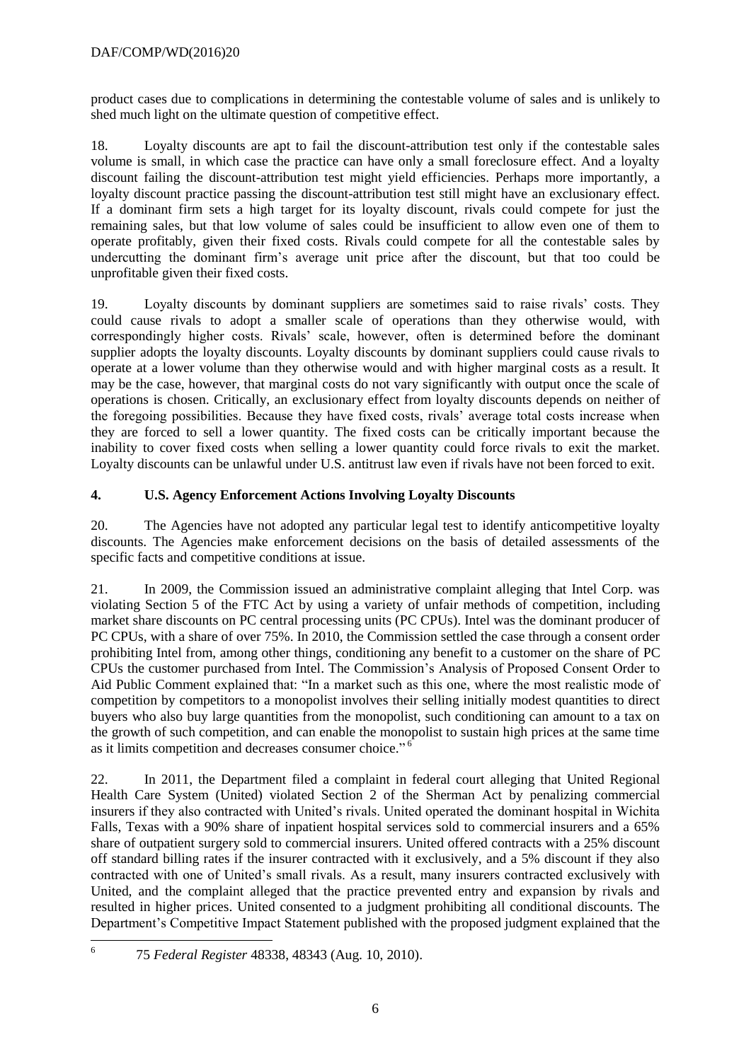product cases due to complications in determining the contestable volume of sales and is unlikely to shed much light on the ultimate question of competitive effect.

18. Loyalty discounts are apt to fail the discount-attribution test only if the contestable sales volume is small, in which case the practice can have only a small foreclosure effect. And a loyalty discount failing the discount-attribution test might yield efficiencies. Perhaps more importantly, a loyalty discount practice passing the discount-attribution test still might have an exclusionary effect. If a dominant firm sets a high target for its loyalty discount, rivals could compete for just the remaining sales, but that low volume of sales could be insufficient to allow even one of them to operate profitably, given their fixed costs. Rivals could compete for all the contestable sales by undercutting the dominant firm's average unit price after the discount, but that too could be unprofitable given their fixed costs.

19. Loyalty discounts by dominant suppliers are sometimes said to raise rivals' costs. They could cause rivals to adopt a smaller scale of operations than they otherwise would, with correspondingly higher costs. Rivals' scale, however, often is determined before the dominant supplier adopts the loyalty discounts. Loyalty discounts by dominant suppliers could cause rivals to operate at a lower volume than they otherwise would and with higher marginal costs as a result. It may be the case, however, that marginal costs do not vary significantly with output once the scale of operations is chosen. Critically, an exclusionary effect from loyalty discounts depends on neither of the foregoing possibilities. Because they have fixed costs, rivals' average total costs increase when they are forced to sell a lower quantity. The fixed costs can be critically important because the inability to cover fixed costs when selling a lower quantity could force rivals to exit the market. Loyalty discounts can be unlawful under U.S. antitrust law even if rivals have not been forced to exit.

# **4. U.S. Agency Enforcement Actions Involving Loyalty Discounts**

20. The Agencies have not adopted any particular legal test to identify anticompetitive loyalty discounts. The Agencies make enforcement decisions on the basis of detailed assessments of the specific facts and competitive conditions at issue.

21. In 2009, the Commission issued an administrative complaint alleging that Intel Corp. was violating Section 5 of the FTC Act by using a variety of unfair methods of competition, including market share discounts on PC central processing units (PC CPUs). Intel was the dominant producer of PC CPUs, with a share of over 75%. In 2010, the Commission settled the case through a consent order prohibiting Intel from, among other things, conditioning any benefit to a customer on the share of PC CPUs the customer purchased from Intel. The Commission's Analysis of Proposed Consent Order to Aid Public Comment explained that: "In a market such as this one, where the most realistic mode of competition by competitors to a monopolist involves their selling initially modest quantities to direct buyers who also buy large quantities from the monopolist, such conditioning can amount to a tax on the growth of such competition, and can enable the monopolist to sustain high prices at the same time as it limits competition and decreases consumer choice."<sup>6</sup>

22. In 2011, the Department filed a complaint in federal court alleging that United Regional Health Care System (United) violated Section 2 of the Sherman Act by penalizing commercial insurers if they also contracted with United's rivals. United operated the dominant hospital in Wichita Falls, Texas with a 90% share of inpatient hospital services sold to commercial insurers and a 65% share of outpatient surgery sold to commercial insurers. United offered contracts with a 25% discount off standard billing rates if the insurer contracted with it exclusively, and a 5% discount if they also contracted with one of United's small rivals. As a result, many insurers contracted exclusively with United, and the complaint alleged that the practice prevented entry and expansion by rivals and resulted in higher prices. United consented to a judgment prohibiting all conditional discounts. The Department's Competitive Impact Statement published with the proposed judgment explained that the

 $\frac{1}{6}$ 75 *Federal Register* 48338, 48343 (Aug. 10, 2010).